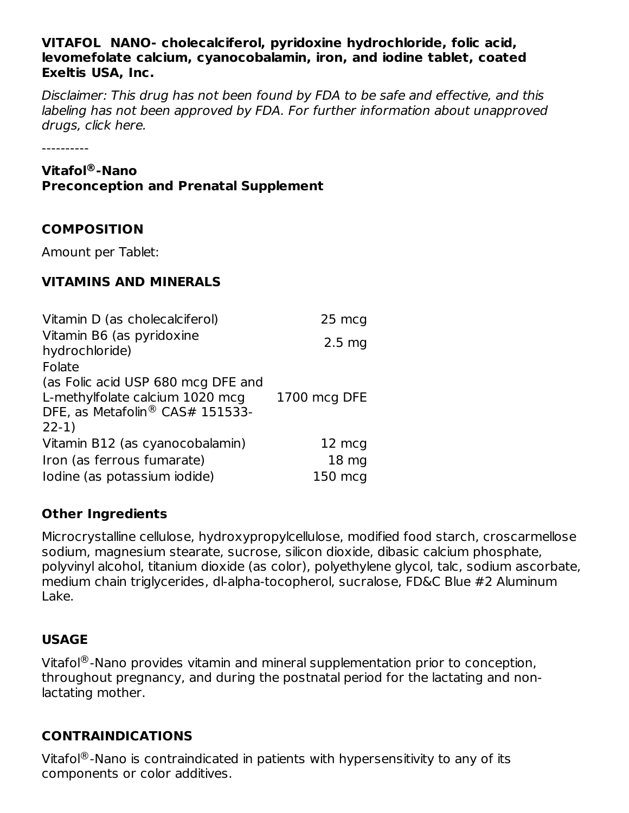#### **VITAFOL NANO- cholecalciferol, pyridoxine hydrochloride, folic acid, levomefolate calcium, cyanocobalamin, iron, and iodine tablet, coated Exeltis USA, Inc.**

Disclaimer: This drug has not been found by FDA to be safe and effective, and this labeling has not been approved by FDA. For further information about unapproved drugs, click here.

----------

#### **Vitafol -Nano ®**

#### **Preconception and Prenatal Supplement**

### **COMPOSITION**

Amount per Tablet:

### **VITAMINS AND MINERALS**

| Vitamin D (as cholecalciferol)                                                                                      | 25 mcg           |
|---------------------------------------------------------------------------------------------------------------------|------------------|
| Vitamin B6 (as pyridoxine<br>hydrochloride)                                                                         | $2.5 \text{ mg}$ |
| Folate                                                                                                              |                  |
| (as Folic acid USP 680 mcg DFE and<br>L-methylfolate calcium 1020 mcg<br>DFE, as Metafolin® CAS# 151533-<br>$22-1)$ | 1700 mcg DFE     |
| Vitamin B12 (as cyanocobalamin)                                                                                     | 12 mcg           |
| Iron (as ferrous fumarate)                                                                                          | 18 <sub>mg</sub> |
| Iodine (as potassium iodide)                                                                                        | 150 mcg          |

### **Other Ingredients**

Microcrystalline cellulose, hydroxypropylcellulose, modified food starch, croscarmellose sodium, magnesium stearate, sucrose, silicon dioxide, dibasic calcium phosphate, polyvinyl alcohol, titanium dioxide (as color), polyethylene glycol, talc, sodium ascorbate, medium chain triglycerides, dl-alpha-tocopherol, sucralose, FD&C Blue #2 Aluminum Lake.

# **USAGE**

Vitafol ${}^{\circledR}$ -Nano provides vitamin and mineral supplementation prior to conception, throughout pregnancy, and during the postnatal period for the lactating and nonlactating mother.

# **CONTRAINDICATIONS**

Vitafol ${}^{\circledR}$ -Nano is contraindicated in patients with hypersensitivity to any of its components or color additives.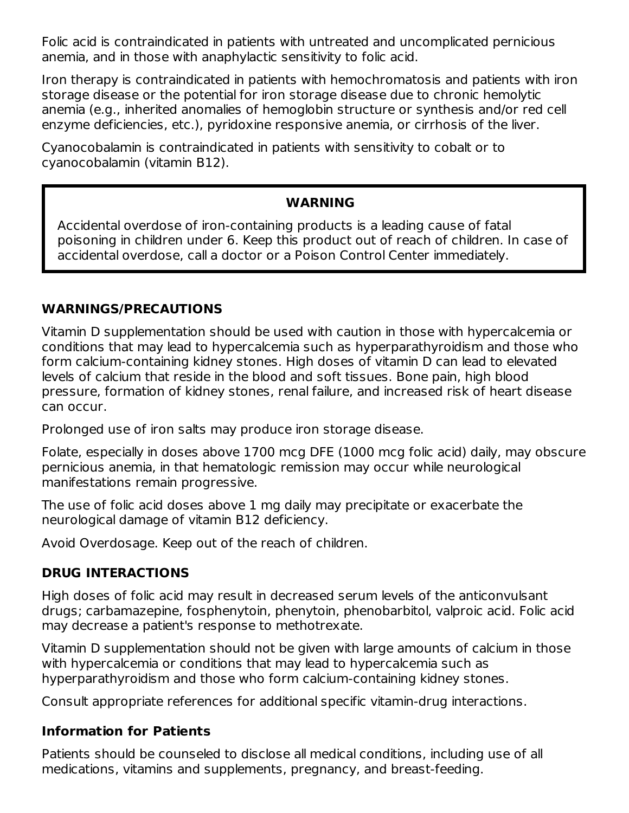Folic acid is contraindicated in patients with untreated and uncomplicated pernicious anemia, and in those with anaphylactic sensitivity to folic acid.

Iron therapy is contraindicated in patients with hemochromatosis and patients with iron storage disease or the potential for iron storage disease due to chronic hemolytic anemia (e.g., inherited anomalies of hemoglobin structure or synthesis and/or red cell enzyme deficiencies, etc.), pyridoxine responsive anemia, or cirrhosis of the liver.

Cyanocobalamin is contraindicated in patients with sensitivity to cobalt or to cyanocobalamin (vitamin B12).

### **WARNING**

Accidental overdose of iron-containing products is a leading cause of fatal poisoning in children under 6. Keep this product out of reach of children. In case of accidental overdose, call a doctor or a Poison Control Center immediately.

# **WARNINGS/PRECAUTIONS**

Vitamin D supplementation should be used with caution in those with hypercalcemia or conditions that may lead to hypercalcemia such as hyperparathyroidism and those who form calcium-containing kidney stones. High doses of vitamin D can lead to elevated levels of calcium that reside in the blood and soft tissues. Bone pain, high blood pressure, formation of kidney stones, renal failure, and increased risk of heart disease can occur.

Prolonged use of iron salts may produce iron storage disease.

Folate, especially in doses above 1700 mcg DFE (1000 mcg folic acid) daily, may obscure pernicious anemia, in that hematologic remission may occur while neurological manifestations remain progressive.

The use of folic acid doses above 1 mg daily may precipitate or exacerbate the neurological damage of vitamin B12 deficiency.

Avoid Overdosage. Keep out of the reach of children.

# **DRUG INTERACTIONS**

High doses of folic acid may result in decreased serum levels of the anticonvulsant drugs; carbamazepine, fosphenytoin, phenytoin, phenobarbitol, valproic acid. Folic acid may decrease a patient's response to methotrexate.

Vitamin D supplementation should not be given with large amounts of calcium in those with hypercalcemia or conditions that may lead to hypercalcemia such as hyperparathyroidism and those who form calcium-containing kidney stones.

Consult appropriate references for additional specific vitamin-drug interactions.

### **Information for Patients**

Patients should be counseled to disclose all medical conditions, including use of all medications, vitamins and supplements, pregnancy, and breast-feeding.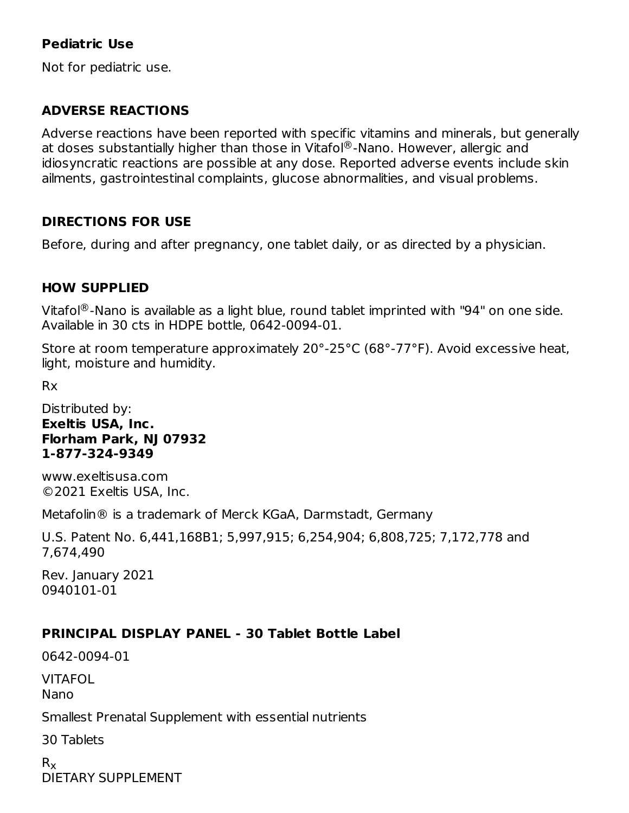## **Pediatric Use**

Not for pediatric use.

### **ADVERSE REACTIONS**

Adverse reactions have been reported with specific vitamins and minerals, but generally at doses substantially higher than those in Vitafol®-Nano. However, allergic and idiosyncratic reactions are possible at any dose. Reported adverse events include skin ailments, gastrointestinal complaints, glucose abnormalities, and visual problems.

### **DIRECTIONS FOR USE**

Before, during and after pregnancy, one tablet daily, or as directed by a physician.

### **HOW SUPPLIED**

Vitafol ${}^{\circledR}$ -Nano is available as a light blue, round tablet imprinted with "94" on one side. Available in 30 cts in HDPE bottle, 0642-0094-01.

Store at room temperature approximately 20°-25°C (68°-77°F). Avoid excessive heat, light, moisture and humidity.

Rx

Distributed by: **Exeltis USA, Inc. Florham Park, NJ 07932 1-877-324-9349**

www.exeltisusa.com ©2021 Exeltis USA, Inc.

Metafolin® is a trademark of Merck KGaA, Darmstadt, Germany

U.S. Patent No. 6,441,168B1; 5,997,915; 6,254,904; 6,808,725; 7,172,778 and 7,674,490

Rev. January 2021 0940101-01

# **PRINCIPAL DISPLAY PANEL - 30 Tablet Bottle Label**

0642-0094-01

VITAFOL

Nano

Smallest Prenatal Supplement with essential nutrients

30 Tablets

 $\mathsf{R}_{\mathsf{X}}$ DIETARY SUPPLEMENT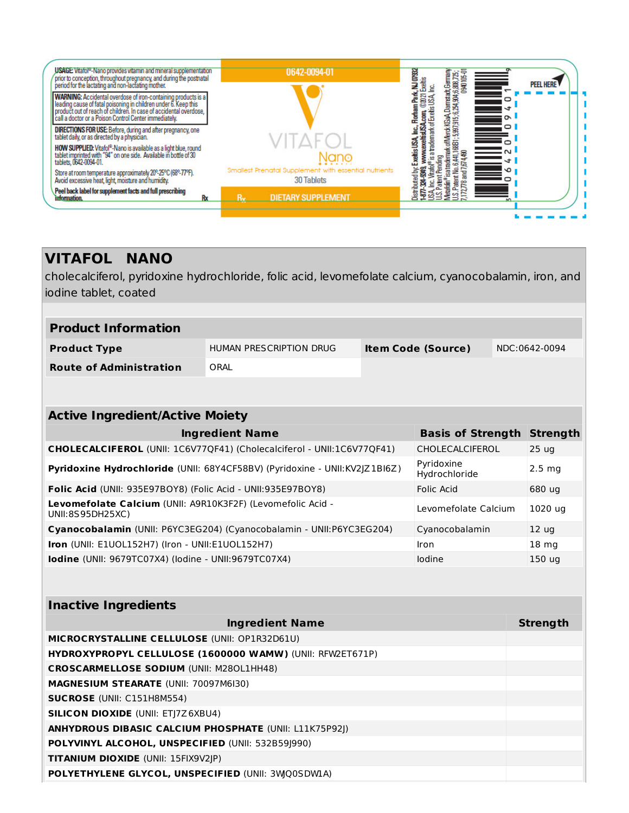| USAGE: Vitatol <sup>®</sup> -Nano provides vitamin and mineral supplementation<br>prior to conception, throughout pregnancy, and during the postnatal<br>period for the lactating and non-lactating mother.<br>WARNING: Accidental overdose of iron-containing products is a<br>leading cause of fatal poisoning in children under 6. Keep this<br>product out of reach of children. In case of accidental overdose,<br>call a doctor or a Poison Control Center immediately.<br><b>DIRECTIONS FOR USE:</b> Before, during and after pregnancy, one tablet daily, or as directed by a physician. | 0642-0094-01                                                        | <b>NJ 07932</b><br>errak of Merck KGaA, Damatadt, German,<br>141, 1686 1: 5,97,915; 6,294,904,6,808,725;<br>4,490<br><b>Exertis</b><br><b>PEEL HERE</b><br>옽<br>rw.exeltisUSA.com, ©2021<br>a trademark of Exetis USA,<br>▭<br>$\equiv$<br>$\sim$<br>$\circ$<br>$\equiv$ |
|--------------------------------------------------------------------------------------------------------------------------------------------------------------------------------------------------------------------------------------------------------------------------------------------------------------------------------------------------------------------------------------------------------------------------------------------------------------------------------------------------------------------------------------------------------------------------------------------------|---------------------------------------------------------------------|--------------------------------------------------------------------------------------------------------------------------------------------------------------------------------------------------------------------------------------------------------------------------|
| HOW SUPPLIED: Vitafol®-Nano is available as a light blue, round<br>tablet imprinted with "94" on one side. Available in bottle of 30<br>tablets, 0642-0094-01.                                                                                                                                                                                                                                                                                                                                                                                                                                   |                                                                     | www.exeltisUS<br>$\frac{1}{2}$ $\sim$<br>S<br>Pending<br>ュ<br>atrad                                                                                                                                                                                                      |
| Store at room temperature approximately 20°-25°C (68°-77°F).<br>Avoid excessive heat, light, moisture and humidity.                                                                                                                                                                                                                                                                                                                                                                                                                                                                              | Smallest Prenatal Supplement with essential nutrients<br>30 Tablets | U.S. Patent No. 6,44<br>7,172,778 and 7,674,4<br>Vitaiol®<br>aributed by:<br>囂                                                                                                                                                                                           |
| Peel back label for supplement facts and full prescribing<br>information.<br>Rx                                                                                                                                                                                                                                                                                                                                                                                                                                                                                                                  | $R_{\rm v}$<br><b>DIETARY SUPPLEMENT</b>                            | etafolin <sup>:</sup>                                                                                                                                                                                                                                                    |

# **VITAFOL NANO**

cholecalciferol, pyridoxine hydrochloride, folic acid, levomefolate calcium, cyanocobalamin, iron, and iodine tablet, coated

| <b>Product Information</b>                                                                                |                         |                           |                                   |  |                  |  |
|-----------------------------------------------------------------------------------------------------------|-------------------------|---------------------------|-----------------------------------|--|------------------|--|
| <b>Product Type</b>                                                                                       | HUMAN PRESCRIPTION DRUG | <b>Item Code (Source)</b> |                                   |  | NDC:0642-0094    |  |
| <b>Route of Administration</b>                                                                            | ORAL                    |                           |                                   |  |                  |  |
|                                                                                                           |                         |                           |                                   |  |                  |  |
|                                                                                                           |                         |                           |                                   |  |                  |  |
| <b>Active Ingredient/Active Moiety</b>                                                                    |                         |                           |                                   |  |                  |  |
|                                                                                                           | <b>Ingredient Name</b>  |                           | <b>Basis of Strength Strength</b> |  |                  |  |
| CHOLECALCIFEROL (UNII: 1C6V77QF41) (Cholecalciferol - UNII:1C6V77QF41)                                    |                         |                           | CHOLECALCIFEROL                   |  | 25 <sub>uq</sub> |  |
| Pyridoxine<br>Pyridoxine Hydrochloride (UNII: 68Y4CF58BV) (Pyridoxine - UNII:KV2JZ1BI6Z)<br>Hydrochloride |                         |                           |                                   |  | $2.5 \, mg$      |  |
| Folic Acid<br>Folic Acid (UNII: 935E97BOY8) (Folic Acid - UNII:935E97BOY8)                                |                         |                           |                                   |  | 680 ug           |  |
| Levomefolate Calcium (UNII: A9R10K3F2F) (Levomefolic Acid -<br>Levomefolate Calcium<br>UNII:8S95DH25XC)   |                         |                           |                                   |  | 1020 ug          |  |
| Cyanocobalamin (UNII: P6YC3EG204) (Cyanocobalamin - UNII: P6YC3EG204)<br>Cyanocobalamin                   |                         |                           |                                   |  | 12 <sub>uq</sub> |  |
| Iron (UNII: E1UOL152H7) (Iron - UNII:E1UOL152H7)                                                          |                         |                           | Iron                              |  | 18 mg            |  |
| Iodine (UNII: 9679TC07X4) (lodine - UNII:9679TC07X4)                                                      |                         |                           | lodine                            |  | 150 ug           |  |
|                                                                                                           |                         |                           |                                   |  |                  |  |
| <b>Inactive Ingredients</b>                                                                               |                         |                           |                                   |  |                  |  |
|                                                                                                           | <b>Ingredient Name</b>  |                           |                                   |  | <b>Strength</b>  |  |
| MICROCRYSTALLINE CELLULOSE (UNII: OP1R32D61U)                                                             |                         |                           |                                   |  |                  |  |
| HYDROXYPROPYL CELLULOSE (1600000 WAMW) (UNII: RFW2ET671P)                                                 |                         |                           |                                   |  |                  |  |
| <b>CROSCARMELLOSE SODIUM (UNII: M280L1HH48)</b>                                                           |                         |                           |                                   |  |                  |  |
| MAGNESIUM STEARATE (UNII: 70097M6I30)                                                                     |                         |                           |                                   |  |                  |  |
| SUCROSE (UNII: C151H8M554)                                                                                |                         |                           |                                   |  |                  |  |
| <b>SILICON DIOXIDE (UNII: ETJ7Z6XBU4)</b>                                                                 |                         |                           |                                   |  |                  |  |
| ANHYDROUS DIBASIC CALCIUM PHOSPHATE (UNII: L11K75P92J)                                                    |                         |                           |                                   |  |                  |  |
| POLYVINYL ALCOHOL, UNSPECIFIED (UNII: 532B59J990)                                                         |                         |                           |                                   |  |                  |  |
| TITANIUM DIOXIDE (UNII: 15FIX9V2JP)                                                                       |                         |                           |                                   |  |                  |  |

**POLYETHYLENE GLYCOL, UNSPECIFIED** (UNII: 3WJQ0SDW1A)